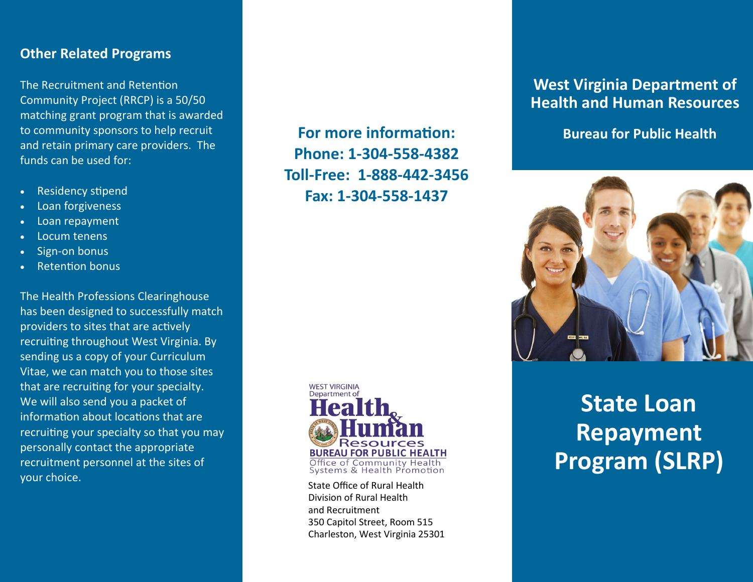#### **Other Related Programs**

The Recruitment and Retention Community Project (RRCP) is a 50/50 matching grant program that is awarded to community sponsors to help recruit and retain primary care providers. The funds can be used for:

- Residency stipend
- Loan forgiveness
- Loan repayment
- Locum tenens
- Sign-on bonus
- **Retention bonus**

The Health Professions Clearinghouse has been designed to successfully match providers to sites that are actively recruiting throughout West Virginia. By sending us a copy of your Curriculum Vitae, we can match you to those sites that are recruiting for your specialty. We will also send you a packet of information about locations that are recruiting your specialty so that you may personally contact the appropriate recruitment personnel at the sites of your choice.

**For more information: Phone: 1-304-558-4382 Toll-Free: 1-888-442-3456 Fax: 1-304-558-1437**



State Office of Rural Health Division of Rural Health and Recruitment 350 Capitol Street, Room 515 Charleston, West Virginia 25301

#### **West Virginia Department of Health and Human Resources**

**Bureau for Public Health**



# **State Loan Repayment Program (SLRP)**